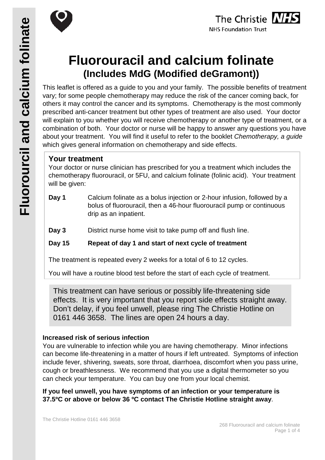



# **Fluorouracil and calcium folinate (Includes MdG (Modified deGramont))**

This leaflet is offered as a guide to you and your family. The possible benefits of treatment vary; for some people chemotherapy may reduce the risk of the cancer coming back, for others it may control the cancer and its symptoms. Chemotherapy is the most commonly prescribed anti-cancer treatment but other types of treatment are also used. Your doctor will explain to you whether you will receive chemotherapy or another type of treatment, or a combination of both. Your doctor or nurse will be happy to answer any questions you have about your treatment. You will find it useful to refer to the booklet *Chemotherapy, a guide* which gives general information on chemotherapy and side effects.

### **Your treatment**

Your doctor or nurse clinician has prescribed for you a treatment which includes the chemotherapy fluorouracil, or 5FU, and calcium folinate (folinic acid). Your treatment will be given:

- **Day 1** Calcium folinate as a bolus injection or 2-hour infusion, followed by a bolus of fluorouracil, then a 46-hour fluorouracil pump or continuous drip as an inpatient.
- **Day 3** District nurse home visit to take pump off and flush line.

**Day 15 Repeat of day 1 and start of next cycle of treatment**

The treatment is repeated every 2 weeks for a total of 6 to 12 cycles.

You will have a routine blood test before the start of each cycle of treatment.

This treatment can have serious or possibly life-threatening side effects. It is very important that you report side effects straight away. Don't delay, if you feel unwell, please ring The Christie Hotline on 0161 446 3658. The lines are open 24 hours a day.

#### **Increased risk of serious infection**

You are vulnerable to infection while you are having chemotherapy. Minor infections can become life-threatening in a matter of hours if left untreated. Symptoms of infection include fever, shivering, sweats, sore throat, diarrhoea, discomfort when you pass urine, cough or breathlessness. We recommend that you use a digital thermometer so you can check your temperature. You can buy one from your local chemist.

**If you feel unwell, you have symptoms of an infection or your temperature is 37.5ºC or above or below 36 ºC contact The Christie Hotline straight away**.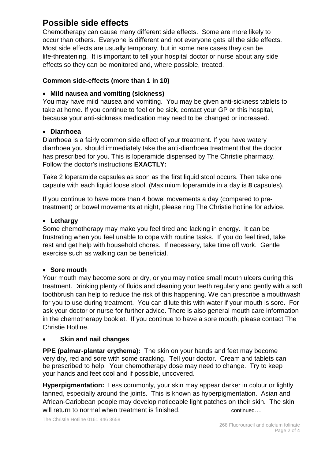# **Possible side effects**

Chemotherapy can cause many different side effects. Some are more likely to occur than others. Everyone is different and not everyone gets all the side effects. Most side effects are usually temporary, but in some rare cases they can be life-threatening. It is important to tell your hospital doctor or nurse about any side effects so they can be monitored and, where possible, treated.

#### **Common side-effects (more than 1 in 10)**

#### • **Mild nausea and vomiting (sickness)**

You may have mild nausea and vomiting. You may be given anti-sickness tablets to take at home. If you continue to feel or be sick, contact your GP or this hospital, because your anti-sickness medication may need to be changed or increased.

#### • **Diarrhoea**

Diarrhoea is a fairly common side effect of your treatment. If you have watery diarrhoea you should immediately take the anti-diarrhoea treatment that the doctor has prescribed for you. This is loperamide dispensed by The Christie pharmacy. Follow the doctor's instructions **EXACTLY:**

Take 2 loperamide capsules as soon as the first liquid stool occurs. Then take one capsule with each liquid loose stool. (Maximium loperamide in a day is **8** capsules).

If you continue to have more than 4 bowel movements a day (compared to pretreatment) or bowel movements at night, please ring The Christie hotline for advice.

#### • **Lethargy**

Some chemotherapy may make you feel tired and lacking in energy. It can be frustrating when you feel unable to cope with routine tasks. If you do feel tired, take rest and get help with household chores. If necessary, take time off work. Gentle exercise such as walking can be beneficial.

#### • **Sore mouth**

Your mouth may become sore or dry, or you may notice small mouth ulcers during this treatment. Drinking plenty of fluids and cleaning your teeth regularly and gently with a soft toothbrush can help to reduce the risk of this happening. We can prescribe a mouthwash for you to use during treatment. You can dilute this with water if your mouth is sore. For ask your doctor or nurse for further advice. There is also general mouth care information in the chemotherapy booklet. If you continue to have a sore mouth, please contact The Christie Hotline.

#### • **Skin and nail changes**

**PPE (palmar-plantar erythema):** The skin on your hands and feet may become very dry, red and sore with some cracking. Tell your doctor. Cream and tablets can be prescribed to help. Your chemotherapy dose may need to change. Try to keep your hands and feet cool and if possible, uncovered.

**Hyperpigmentation:** Less commonly, your skin may appear darker in colour or lightly tanned, especially around the joints. This is known as hyperpigmentation. Asian and African-Caribbean people may develop noticeable light patches on their skin. The skin will return to normal when treatment is finished. continued...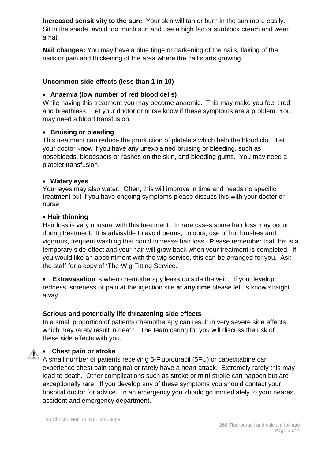**Increased sensitivity to the sun:** Your skin will tan or burn in the sun more easily. Sit in the shade, avoid too much sun and use a high factor sunblock cream and wear a hat.

**Nail changes:** You may have a blue tinge or darkening of the nails, flaking of the nails or pain and thickening of the area where the nail starts growing.

#### **Uncommon side-effects (less than 1 in 10)**

#### • **Anaemia (low number of red blood cells)**

While having this treatment you may become anaemic. This may make you feel tired and breathless. Let your doctor or nurse know if these symptoms are a problem. You may need a blood transfusion.

#### • **Bruising or bleeding**

This treatment can reduce the production of platelets which help the blood clot. Let your doctor know if you have any unexplained bruising or bleeding, such as nosebleeds, bloodspots or rashes on the skin, and bleeding gums. You may need a platelet transfusion.

#### • **Watery eyes**

Your eyes may also water. Often, this will improve in time and needs no specific treatment but if you have ongoing symptoms please discuss this with your doctor or nurse.

#### • **Hair thinning**

Hair loss is very unusual with this treatment. In rare cases some hair loss may occur during treatment. It is advisable to avoid perms, colours, use of hot brushes and vigorous, frequent washing that could increase hair loss. Please remember that this is a temporary side effect and your hair will grow back when your treatment is completed. If you would like an appointment with the wig service, this can be arranged for you. Ask the staff for a copy of 'The Wig Fitting Service.'

• **Extravasation** is when chemotherapy leaks outside the vein. If you develop redness, soreness or pain at the injection site **at any time** please let us know straight away.

#### **Serious and potentially life threatening side effects**

In a small proportion of patients chemotherapy can result in very severe side effects which may rarely result in death. The team caring for you will discuss the risk of these side effects with you.

#### • **Chest pain or stroke**

A small number of patients receiving 5-Fluorouracil (5FU) or capecitabine can experience chest pain (angina) or rarely have a heart attack. Extremely rarely this may lead to death. Other complications such as stroke or mini-stroke can happen but are exceptionally rare. If you develop any of these symptoms you should contact your hospital doctor for advice. In an emergency you should go immediately to your nearest accident and emergency department.